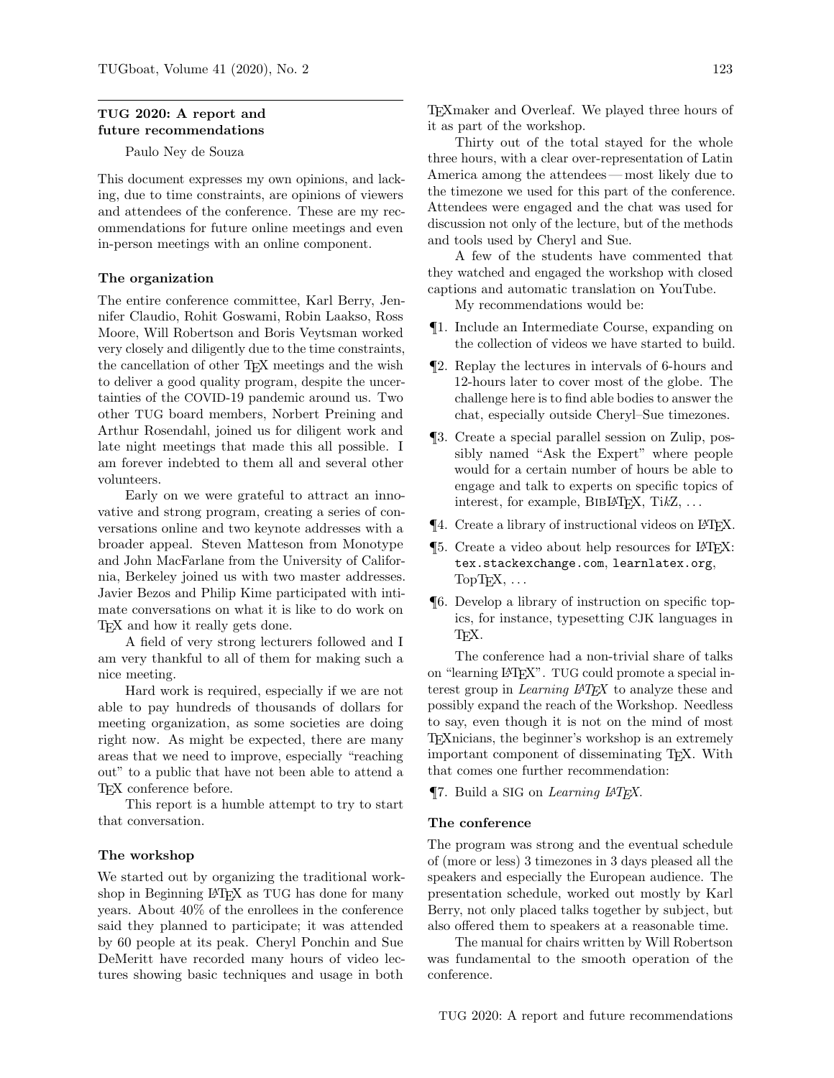# TUG 2020: A report and future recommendations

Paulo Ney de Souza

This document expresses my own opinions, and lacking, due to time constraints, are opinions of viewers and attendees of the conference. These are my recommendations for future online meetings and even in-person meetings with an online component.

### The organization

The entire conference committee, Karl Berry, Jennifer Claudio, Rohit Goswami, Robin Laakso, Ross Moore, Will Robertson and Boris Veytsman worked very closely and diligently due to the time constraints, the cancellation of other TEX meetings and the wish to deliver a good quality program, despite the uncertainties of the COVID-19 pandemic around us. Two other TUG board members, Norbert Preining and Arthur Rosendahl, joined us for diligent work and late night meetings that made this all possible. I am forever indebted to them all and several other volunteers.

Early on we were grateful to attract an innovative and strong program, creating a series of conversations online and two keynote addresses with a broader appeal. Steven Matteson from Monotype and John MacFarlane from the University of California, Berkeley joined us with two master addresses. Javier Bezos and Philip Kime participated with intimate conversations on what it is like to do work on T<sub>EX</sub> and how it really gets done.

A field of very strong lecturers followed and I am very thankful to all of them for making such a nice meeting.

Hard work is required, especially if we are not able to pay hundreds of thousands of dollars for meeting organization, as some societies are doing right now. As might be expected, there are many areas that we need to improve, especially "reaching out" to a public that have not been able to attend a TEX conference before.

This report is a humble attempt to try to start that conversation.

# The workshop

We started out by organizing the traditional workshop in Beginning LAT<sub>F</sub>X as TUG has done for many years. About 40% of the enrollees in the conference said they planned to participate; it was attended by 60 people at its peak. Cheryl Ponchin and Sue DeMeritt have recorded many hours of video lectures showing basic techniques and usage in both

TEXmaker and Overleaf. We played three hours of it as part of the workshop.

Thirty out of the total stayed for the whole three hours, with a clear over-representation of Latin America among the attendees— most likely due to the timezone we used for this part of the conference. Attendees were engaged and the chat was used for discussion not only of the lecture, but of the methods and tools used by Cheryl and Sue.

A few of the students have commented that they watched and engaged the workshop with closed captions and automatic translation on YouTube.

My recommendations would be:

- ¶1. Include an Intermediate Course, expanding on the collection of videos we have started to build.
- ¶2. Replay the lectures in intervals of 6-hours and 12-hours later to cover most of the globe. The challenge here is to find able bodies to answer the chat, especially outside Cheryl–Sue timezones.
- ¶3. Create a special parallel session on Zulip, possibly named "Ask the Expert" where people would for a certain number of hours be able to engage and talk to experts on specific topics of interest, for example,  $BIBIATFX$ ,  $TikZ$ ,  $\ldots$
- ¶4. Create a library of instructional videos on LATEX.
- ¶5. Create a video about help resources for LATEX: <tex.stackexchange.com>, [learnlatex.org](https://learnlatex.org),  $TopTrX, \ldots$
- ¶6. Develop a library of instruction on specific topics, for instance, typesetting CJK languages in T<sub>F</sub>X.

The conference had a non-trivial share of talks on "learning L<sup>AT</sup>EX". TUG could promote a special interest group in *Learning LAT<sub>EX</sub>* to analyze these and possibly expand the reach of the Workshop. Needless to say, even though it is not on the mind of most TEXnicians, the beginner's workshop is an extremely important component of disseminating TEX. With that comes one further recommendation:

¶7. Build a SIG on Learning LATEX.

### The conference

The program was strong and the eventual schedule of (more or less) 3 timezones in 3 days pleased all the speakers and especially the European audience. The presentation schedule, worked out mostly by Karl Berry, not only placed talks together by subject, but also offered them to speakers at a reasonable time.

The manual for chairs written by Will Robertson was fundamental to the smooth operation of the conference.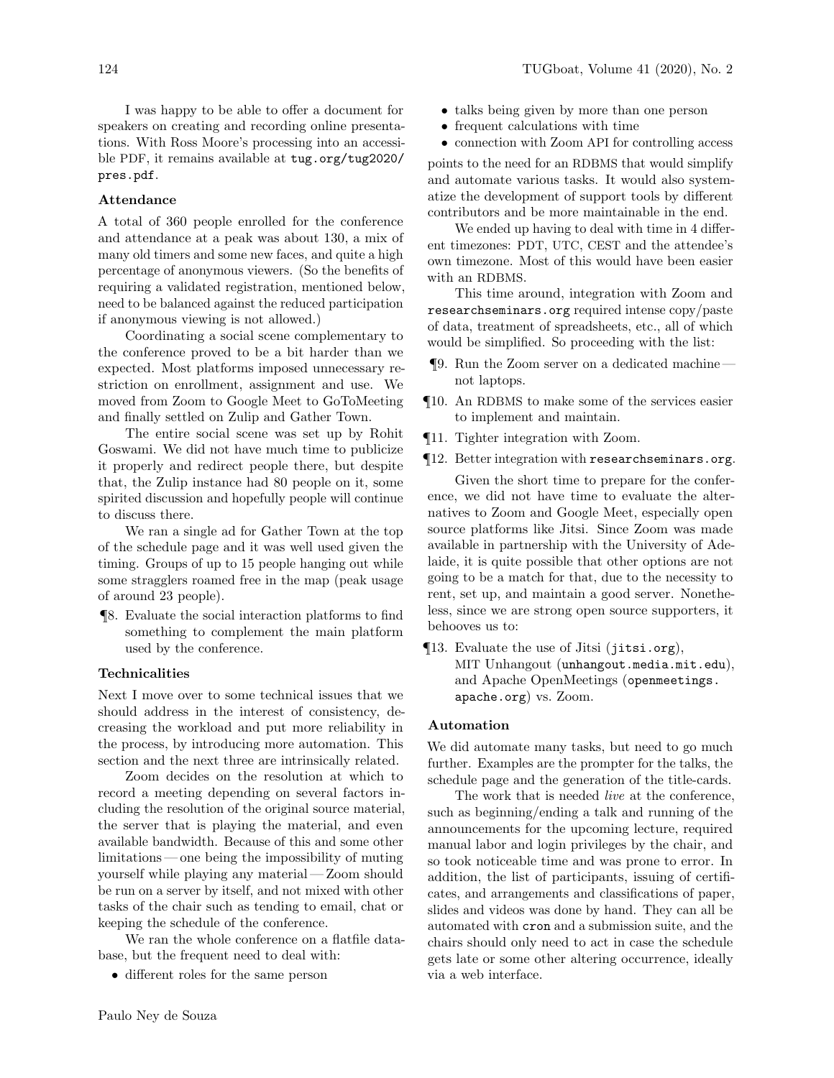I was happy to be able to offer a document for speakers on creating and recording online presentations. With Ross Moore's processing into an accessible PDF, it remains available at [tug.org/tug2020/](https://tug.org/tug2020/pres.pdf) [pres.pdf](https://tug.org/tug2020/pres.pdf).

# Attendance

A total of 360 people enrolled for the conference and attendance at a peak was about 130, a mix of many old timers and some new faces, and quite a high percentage of anonymous viewers. (So the benefits of requiring a validated registration, mentioned below, need to be balanced against the reduced participation if anonymous viewing is not allowed.)

Coordinating a social scene complementary to the conference proved to be a bit harder than we expected. Most platforms imposed unnecessary restriction on enrollment, assignment and use. We moved from Zoom to Google Meet to GoToMeeting and finally settled on Zulip and Gather Town.

The entire social scene was set up by Rohit Goswami. We did not have much time to publicize it properly and redirect people there, but despite that, the Zulip instance had 80 people on it, some spirited discussion and hopefully people will continue to discuss there.

We ran a single ad for Gather Town at the top of the schedule page and it was well used given the timing. Groups of up to 15 people hanging out while some stragglers roamed free in the map (peak usage of around 23 people).

¶8. Evaluate the social interaction platforms to find something to complement the main platform used by the conference.

# Technicalities

Next I move over to some technical issues that we should address in the interest of consistency, decreasing the workload and put more reliability in the process, by introducing more automation. This section and the next three are intrinsically related.

Zoom decides on the resolution at which to record a meeting depending on several factors including the resolution of the original source material, the server that is playing the material, and even available bandwidth. Because of this and some other limitations— one being the impossibility of muting yourself while playing any material— Zoom should be run on a server by itself, and not mixed with other tasks of the chair such as tending to email, chat or keeping the schedule of the conference.

We ran the whole conference on a flatfile database, but the frequent need to deal with:

• different roles for the same person

- talks being given by more than one person
- frequent calculations with time
- connection with Zoom API for controlling access

points to the need for an RDBMS that would simplify and automate various tasks. It would also systematize the development of support tools by different contributors and be more maintainable in the end.

We ended up having to deal with time in 4 different timezones: PDT, UTC, CEST and the attendee's own timezone. Most of this would have been easier with an RDBMS.

This time around, integration with Zoom and [researchseminars.org](https://researchseminars.org) required intense copy/paste of data, treatment of spreadsheets, etc., all of which would be simplified. So proceeding with the list:

- ¶9. Run the Zoom server on a dedicated machine not laptops.
- ¶10. An RDBMS to make some of the services easier to implement and maintain.
- ¶11. Tighter integration with Zoom.
- ¶12. Better integration with [researchseminars.org](https://researchseminars.org).

Given the short time to prepare for the conference, we did not have time to evaluate the alternatives to Zoom and Google Meet, especially open source platforms like Jitsi. Since Zoom was made available in partnership with the University of Adelaide, it is quite possible that other options are not going to be a match for that, due to the necessity to rent, set up, and maintain a good server. Nonetheless, since we are strong open source supporters, it behooves us to:

¶13. Evaluate the use of Jitsi ([jitsi.org](https://jitsi.org)), MIT Unhangout ([unhangout.media.mit.edu](https://unhangout.media.mit.edu)), and Apache OpenMeetings ([openmeetings.](https://openmeetings.apache.org) [apache.org](https://openmeetings.apache.org)) vs. Zoom.

# Automation

We did automate many tasks, but need to go much further. Examples are the prompter for the talks, the schedule page and the generation of the title-cards.

The work that is needed *live* at the conference, such as beginning/ending a talk and running of the announcements for the upcoming lecture, required manual labor and login privileges by the chair, and so took noticeable time and was prone to error. In addition, the list of participants, issuing of certificates, and arrangements and classifications of paper, slides and videos was done by hand. They can all be automated with cron and a submission suite, and the chairs should only need to act in case the schedule gets late or some other altering occurrence, ideally via a web interface.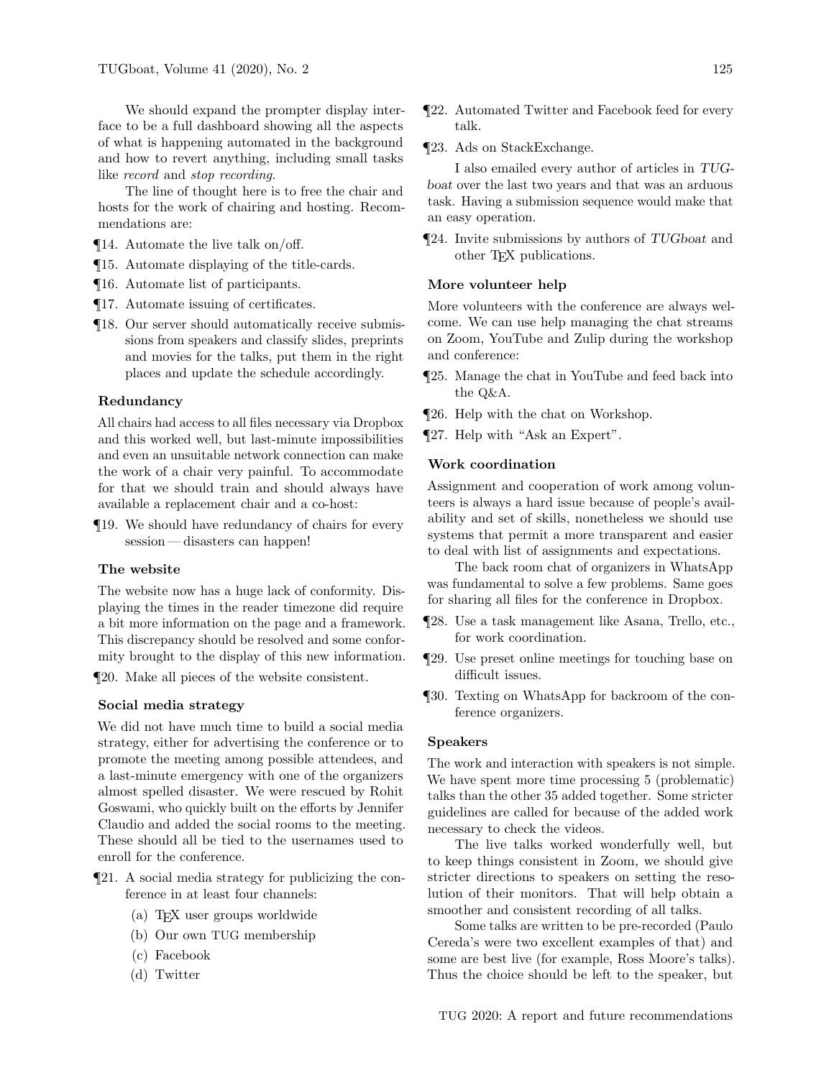We should expand the prompter display interface to be a full dashboard showing all the aspects of what is happening automated in the background and how to revert anything, including small tasks like record and stop recording.

The line of thought here is to free the chair and hosts for the work of chairing and hosting. Recommendations are:

- ¶14. Automate the live talk on/off.
- ¶15. Automate displaying of the title-cards.
- ¶16. Automate list of participants.
- ¶17. Automate issuing of certificates.
- ¶18. Our server should automatically receive submissions from speakers and classify slides, preprints and movies for the talks, put them in the right places and update the schedule accordingly.

## Redundancy

All chairs had access to all files necessary via Dropbox and this worked well, but last-minute impossibilities and even an unsuitable network connection can make the work of a chair very painful. To accommodate for that we should train and should always have available a replacement chair and a co-host:

¶19. We should have redundancy of chairs for every session — disasters can happen!

# The website

The website now has a huge lack of conformity. Displaying the times in the reader timezone did require a bit more information on the page and a framework. This discrepancy should be resolved and some conformity brought to the display of this new information. ¶20. Make all pieces of the website consistent.

### Social media strategy

We did not have much time to build a social media strategy, either for advertising the conference or to promote the meeting among possible attendees, and a last-minute emergency with one of the organizers almost spelled disaster. We were rescued by Rohit Goswami, who quickly built on the efforts by Jennifer Claudio and added the social rooms to the meeting. These should all be tied to the usernames used to enroll for the conference.

- ¶21. A social media strategy for publicizing the conference in at least four channels:
	- (a) TEX user groups worldwide
	- (b) Our own TUG membership
	- (c) Facebook
	- (d) Twitter
- ¶22. Automated Twitter and Facebook feed for every talk.
- ¶23. Ads on StackExchange.

I also emailed every author of articles in TUGboat over the last two years and that was an arduous task. Having a submission sequence would make that an easy operation.

¶24. Invite submissions by authors of TUGboat and other TEX publications.

# More volunteer help

More volunteers with the conference are always welcome. We can use help managing the chat streams on Zoom, YouTube and Zulip during the workshop and conference:

- ¶25. Manage the chat in YouTube and feed back into the Q&A.
- ¶26. Help with the chat on Workshop.
- ¶27. Help with "Ask an Expert".

# Work coordination

Assignment and cooperation of work among volunteers is always a hard issue because of people's availability and set of skills, nonetheless we should use systems that permit a more transparent and easier to deal with list of assignments and expectations.

The back room chat of organizers in WhatsApp was fundamental to solve a few problems. Same goes for sharing all files for the conference in Dropbox.

- ¶28. Use a task management like Asana, Trello, etc., for work coordination.
- ¶29. Use preset online meetings for touching base on difficult issues.
- ¶30. Texting on WhatsApp for backroom of the conference organizers.

## Speakers

The work and interaction with speakers is not simple. We have spent more time processing 5 (problematic) talks than the other 35 added together. Some stricter guidelines are called for because of the added work necessary to check the videos.

The live talks worked wonderfully well, but to keep things consistent in Zoom, we should give stricter directions to speakers on setting the resolution of their monitors. That will help obtain a smoother and consistent recording of all talks.

Some talks are written to be pre-recorded (Paulo Cereda's were two excellent examples of that) and some are best live (for example, Ross Moore's talks). Thus the choice should be left to the speaker, but